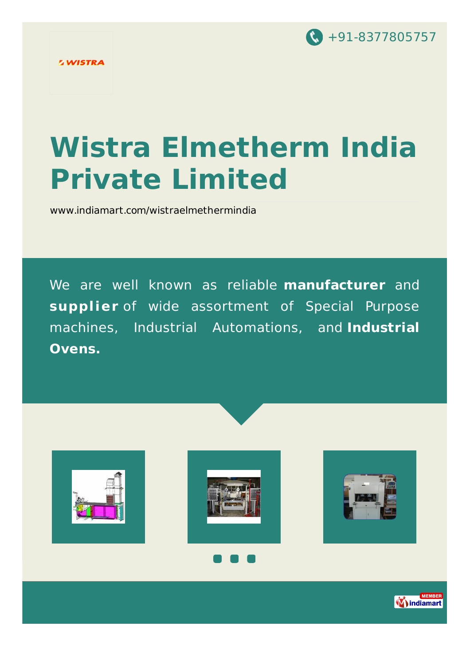

# **Wistra Elmetherm India Private Limited**

[www.indiamart.com/wistraelmethermindia](http://www.indiamart.com/wistraelmethermindia/)

We are well known as reliable **manufacturer** and **supplier** of wide assortment of Special Purpose machines, Industrial Automations, and **Industrial Ovens.**







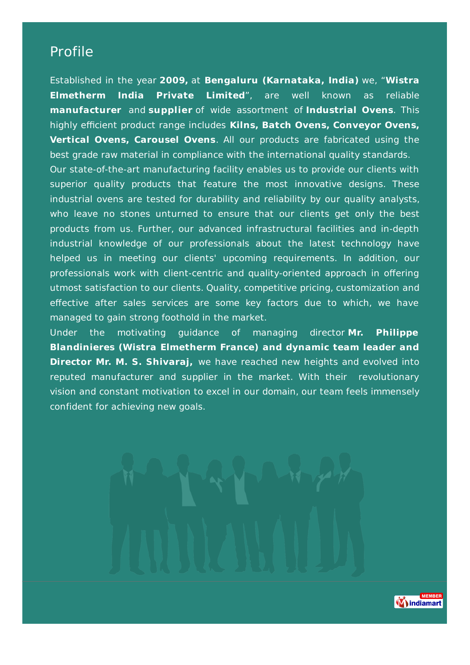#### Profile

Established in the year **2009,** at **Bengaluru (Karnataka, India)** we, "**Wistra Elmetherm India Private Limited**", are well known as reliable **manufacturer** and **supplier** of wide assortment of **Industrial Ovens**. This highly efficient product range includes **Kilns, Batch Ovens, Conveyor Ovens, Vertical Ovens, Carousel Ovens**. All our products are fabricated using the best grade raw material in compliance with the international quality standards.

Our state-of-the-art manufacturing facility enables us to provide our clients with superior quality products that feature the most innovative designs. These industrial ovens are tested for durability and reliability by our quality analysts, who leave no stones unturned to ensure that our clients get only the best products from us. Further, our advanced infrastructural facilities and in-depth industrial knowledge of our professionals about the latest technology have helped us in meeting our clients' upcoming requirements. In addition, our professionals work with client-centric and quality-oriented approach in offering utmost satisfaction to our clients. Quality, competitive pricing, customization and effective after sales services are some key factors due to which, we have managed to gain strong foothold in the market.

Under the motivating guidance of managing director **Mr. Philippe Blandinieres (Wistra Elmetherm France) and dynamic team leader and Director Mr. M. S. Shivaraj,** we have reached new heights and evolved into reputed manufacturer and supplier in the market. With their revolutionary vision and constant motivation to excel in our domain, our team feels immensely confident for achieving new goals.

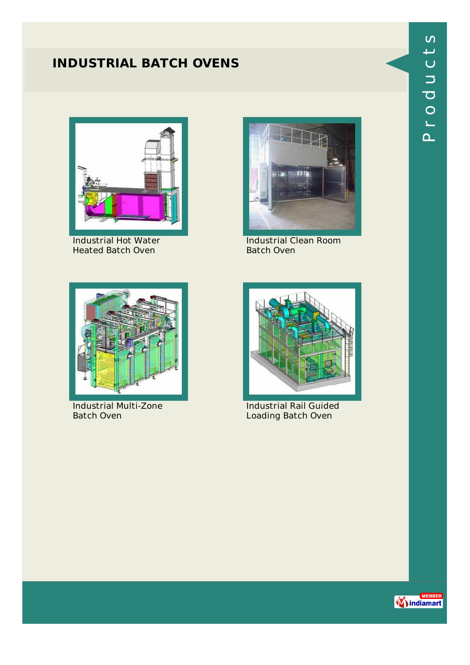## **INDUSTRIAL BATCH OVENS**



Industrial Hot Water Heated Batch Oven



Industrial Clean Room Batch Oven



Industrial Multi-Zone Batch Oven



Industrial Rail Guided Loading Batch Oven

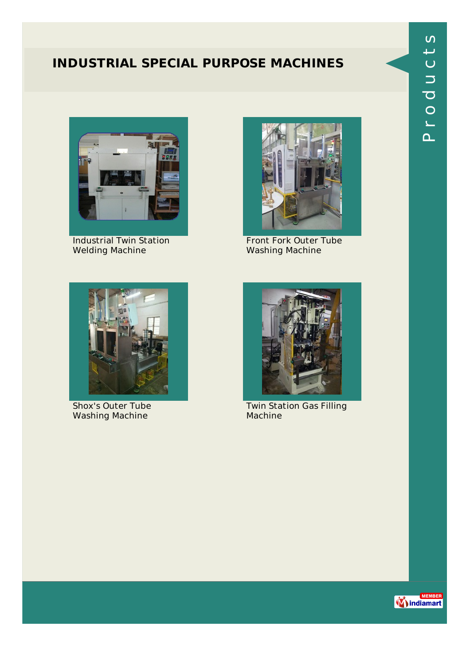#### **INDUSTRIAL SPECIAL PURPOSE MACHINES**



Industrial Twin Station Welding Machine



Front Fork Outer Tube Washing Machine



Shox's Outer Tube Washing Machine



Twin Station Gas Filling Machine

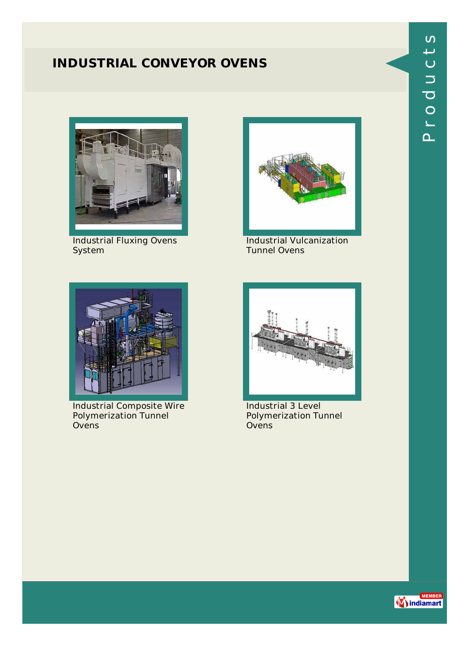#### **INDUSTRIAL CONVEYOR OVENS**



Industrial Fluxing Ovens **System** 



Industrial Vulcanization Tunnel Ovens



Industrial Composite Wire Polymerization Tunnel Ovens



Industrial 3 Level Polymerization Tunnel Ovens



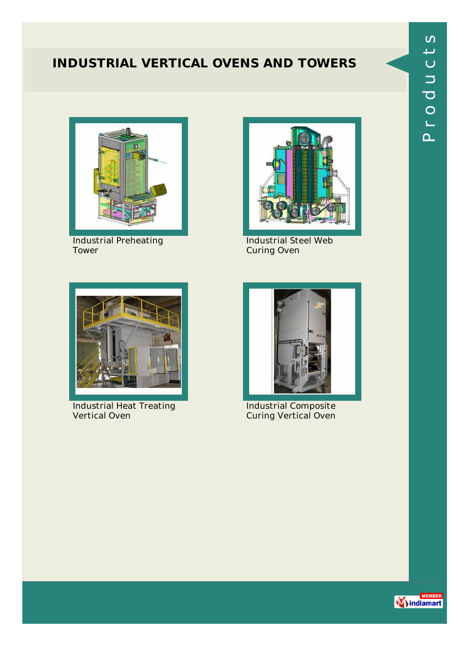### **INDUSTRIAL VERTICAL OVENS AND TOWERS**



Industrial Preheating Tower



Industrial Steel Web Curing Oven



Industrial Heat Treating Vertical Oven



Industrial Composite Curing Vertical Oven

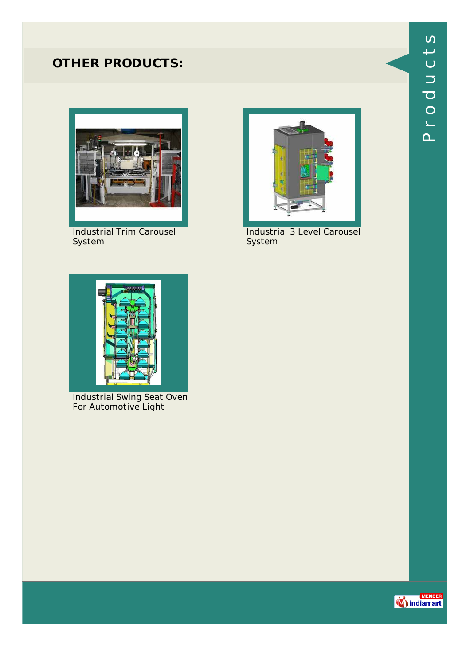

Industrial Trim Carousel System



Industrial 3 Level Carousel System



Industrial Swing Seat Oven For Automotive Light

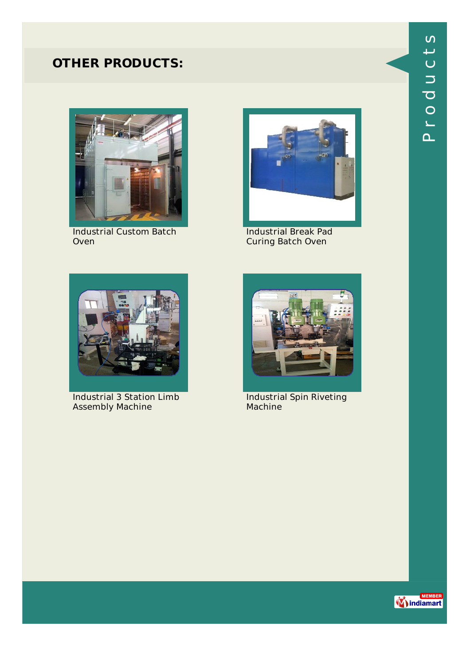

Industrial Custom Batch Oven



Industrial Break Pad Curing Batch Oven



Industrial 3 Station Limb Assembly Machine



Industrial Spin Riveting Machine

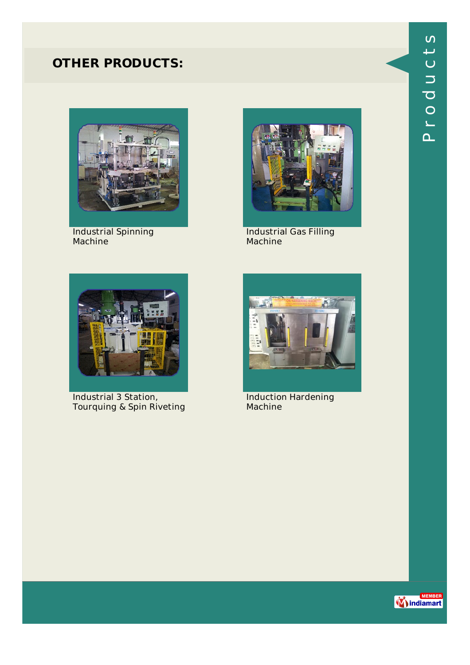

Industrial Spinning Machine



Industrial Gas Filling Machine



Industrial 3 Station, Tourquing & Spin Riveting



Induction Hardening Machine

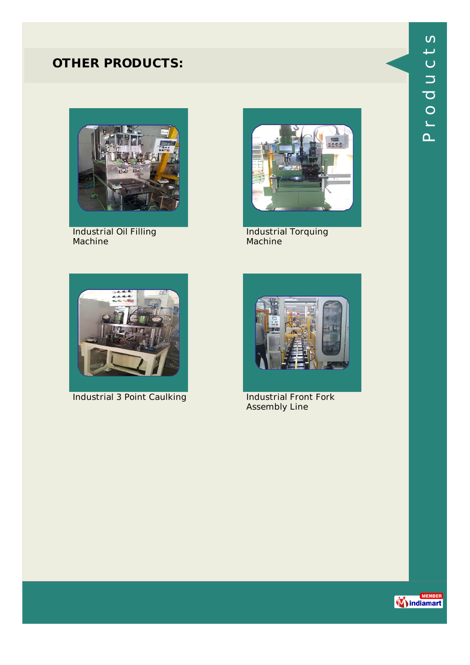

Industrial Oil Filling Machine



Industrial Torquing Machine



**Industrial 3 Point Caulking Industrial Front Fork** 



Assembly Line

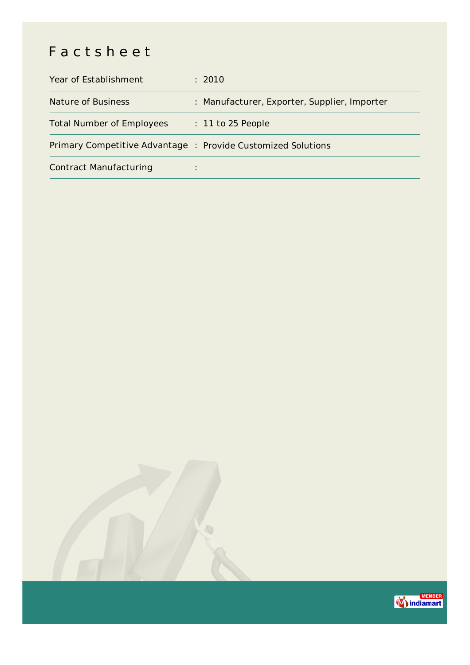# Factsheet

| Year of Establishment                                        | : 2010                                       |
|--------------------------------------------------------------|----------------------------------------------|
| Nature of Business                                           | : Manufacturer, Exporter, Supplier, Importer |
| <b>Total Number of Employees</b>                             | $: 11$ to 25 People                          |
| Primary Competitive Advantage : Provide Customized Solutions |                                              |
| <b>Contract Manufacturing</b>                                | ٠                                            |